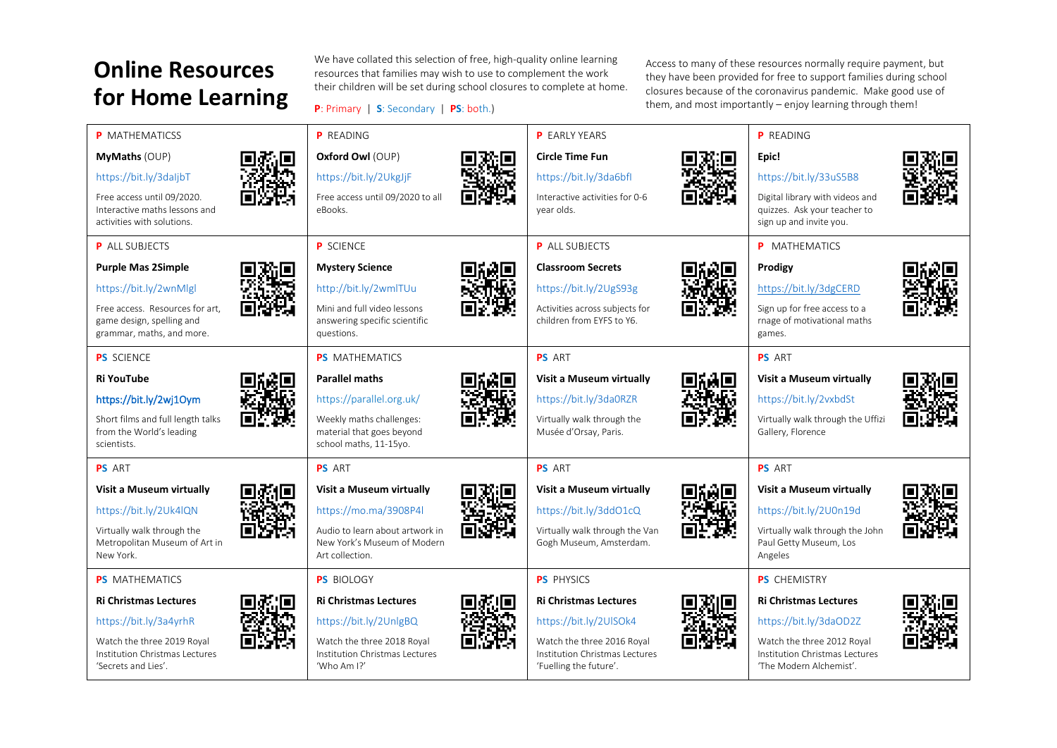## **Online Resources for Home Learning**

We have collated this selection of free, high-quality online learning resources that families may wish to use to complement the work their children will be set during school closures to complete at home.

**P**: Primary | **S**: Secondary | **PS**: both.)

Access to many of these resources normally require payment, but they have been provided for free to support families during school closures because of the coronavirus pandemic. Make good use of them, and most importantly – enjoy learning through them!